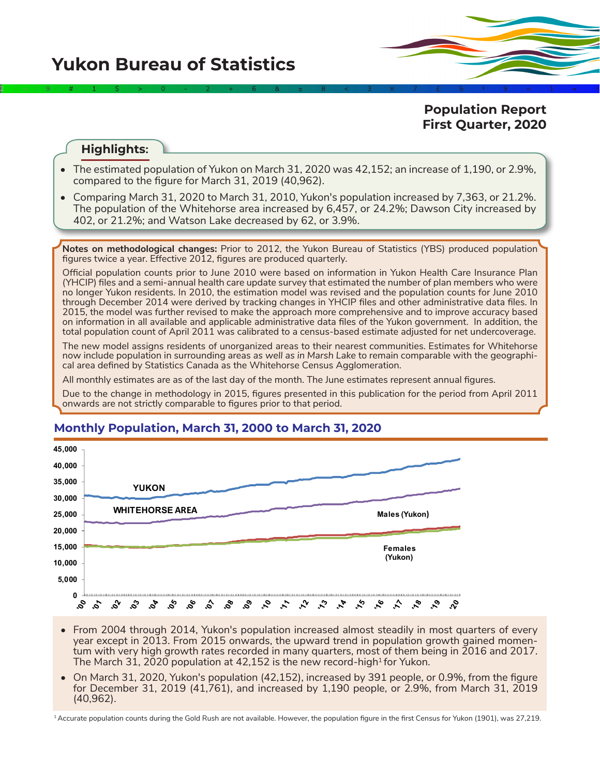**Yukon Bureau of Statistics** 

2÷9#1\$>0-2+6&±8<3π7£5‡9≈1∞^

**Population Report First Quarter, 2020**

### **Highlights:**

- The estimated population of Yukon on March 31, 2020 was 42,152; an increase of 1,190, or 2.9%, compared to the figure for March 31, 2019 (40,962).
- Comparing March 31, 2020 to March 31, 2010, Yukon's population increased by 7,363, or 21.2%. The population of the Whitehorse area increased by 6,457, or 24.2%; Dawson City increased by 402, or 21.2%; and Watson Lake decreased by 62, or 3.9%.

**Notes on methodological changes:** Prior to 2012, the Yukon Bureau of Statistics (YBS) produced population figures twice a year. Effective 2012, figures are produced quarterly.

Official population counts prior to June 2010 were based on information in Yukon Health Care Insurance Plan (YHCIP) files and a semi-annual health care update survey that estimated the number of plan members who were no longer Yukon residents. In 2010, the estimation model was revised and the population counts for June 2010 through December 2014 were derived by tracking changes in YHCIP files and other administrative data files. In 2015, the model was further revised to make the approach more comprehensive and to improve accuracy based on information in all available and applicable administrative data files of the Yukon government. In addition, the total population count of April 2011 was calibrated to a census-based estimate adjusted for net undercoverage.

The new model assigns residents of unorganized areas to their nearest communities. Estimates for Whitehorse now include population in surrounding areas *as well as in Marsh Lake* to remain comparable with the geographical area defined by Statistics Canada as the Whitehorse Census Agglomeration.

All monthly estimates are as of the last day of the month. The June estimates represent annual figures.

Due to the change in methodology in 2015, figures presented in this publication for the period from April 2011 onwards are not strictly comparable to figures prior to that period.



# **Monthly Population, March 31, 2000 to March 31, 2020**

- From 2004 through 2014, Yukon's population increased almost steadily in most quarters of every year except in 2013. From 2015 onwards, the upward trend in population growth gained momentum with very high growth rates recorded in many quarters, most of them being in 2016 and 2017. The March 31, 2020 population at 42,152 is the new record-high<sup>1</sup> for Yukon.
- On March 31, 2020, Yukon's population (42,152), increased by 391 people, or 0.9%, from the figure for December 31, 2019 (41,761), and increased by 1,190 people, or 2.9%, from March 31, 2019 (40,962).

<sup>1</sup> Accurate population counts during the Gold Rush are not available. However, the population figure in the first Census for Yukon (1901), was 27,219.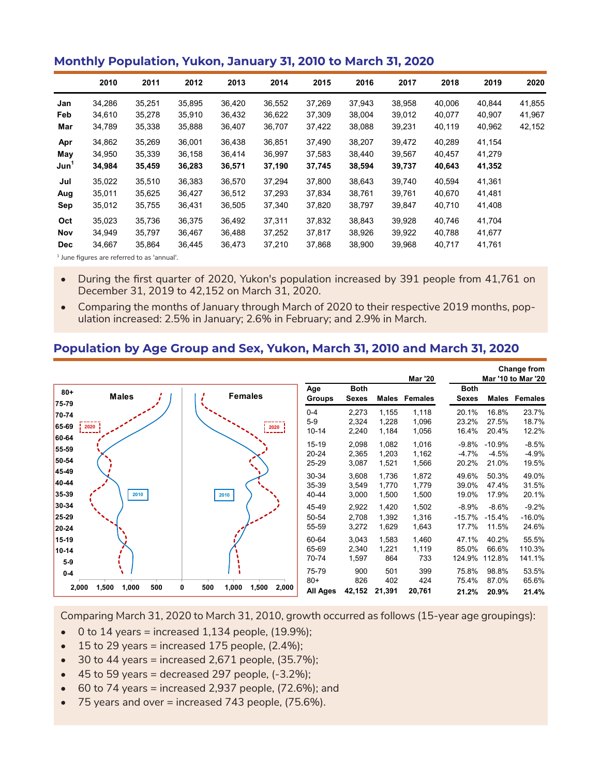#### **Monthly Population, Yukon, January 31, 2010 to March 31, 2020**

|                  | 2010   | 2011                                                  | 2012   | 2013   | 2014   | 2015   | 2016   | 2017   | 2018   | 2019   | 2020   |
|------------------|--------|-------------------------------------------------------|--------|--------|--------|--------|--------|--------|--------|--------|--------|
| Jan              | 34,286 | 35,251                                                | 35,895 | 36,420 | 36,552 | 37,269 | 37,943 | 38,958 | 40,006 | 40,844 | 41,855 |
| Feb              | 34,610 | 35,278                                                | 35,910 | 36,432 | 36,622 | 37,309 | 38,004 | 39,012 | 40,077 | 40,907 | 41,967 |
| Mar              | 34,789 | 35,338                                                | 35,888 | 36,407 | 36,707 | 37,422 | 38,088 | 39,231 | 40,119 | 40,962 | 42,152 |
| Apr              | 34,862 | 35,269                                                | 36,001 | 36,438 | 36.851 | 37,490 | 38,207 | 39,472 | 40,289 | 41,154 |        |
| May              | 34,950 | 35,339                                                | 36,158 | 36,414 | 36,997 | 37,583 | 38,440 | 39,567 | 40,457 | 41,279 |        |
| Jun <sup>1</sup> | 34,984 | 35,459                                                | 36,283 | 36,571 | 37,190 | 37,745 | 38,594 | 39,737 | 40,643 | 41,352 |        |
| Jul              | 35,022 | 35,510                                                | 36,383 | 36,570 | 37.294 | 37.800 | 38,643 | 39,740 | 40,594 | 41,361 |        |
| Aug              | 35,011 | 35,625                                                | 36,427 | 36,512 | 37,293 | 37,834 | 38,761 | 39,761 | 40,670 | 41,481 |        |
| Sep              | 35,012 | 35,755                                                | 36,431 | 36,505 | 37,340 | 37,820 | 38,797 | 39,847 | 40,710 | 41,408 |        |
| Oct              | 35,023 | 35.736                                                | 36,375 | 36,492 | 37.311 | 37,832 | 38,843 | 39.928 | 40.746 | 41,704 |        |
| Nov              | 34,949 | 35.797                                                | 36,467 | 36,488 | 37,252 | 37.817 | 38,926 | 39,922 | 40,788 | 41,677 |        |
| <b>Dec</b>       | 34,667 | 35,864                                                | 36,445 | 36,473 | 37,210 | 37,868 | 38,900 | 39,968 | 40,717 | 41,761 |        |
|                  |        | The same Common and same continued to the same of the |        |        |        |        |        |        |        |        |        |

<sup>1</sup> June figures are referred to as 'annual'.

- During the first quarter of 2020, Yukon's population increased by 391 people from 41,761 on December 31, 2019 to 42,152 on March 31, 2020.
- Comparing the months of January through March of 2020 to their respective 2019 months, population increased: 2.5% in January; 2.6% in February; and 2.9% in March.

#### **Population by Age Group and Sex, Yukon, March 31, 2010 and March 31, 2020**

|                         |                                |                                     |                                   |                             |                         | <b>Mar '20</b>          |                              |                              | <b>Change from</b><br>Mar '10 to Mar '20 |
|-------------------------|--------------------------------|-------------------------------------|-----------------------------------|-----------------------------|-------------------------|-------------------------|------------------------------|------------------------------|------------------------------------------|
| $80 +$<br>75-79         | <b>Males</b>                   | <b>Females</b>                      | Age<br><b>Groups</b>              | <b>Both</b><br><b>Sexes</b> | Males                   | Females                 | <b>Both</b><br><b>Sexes</b>  | Males                        | Females                                  |
| 70-74<br>65-69<br>60-64 | 2020                           | 2020                                | $0 - 4$<br>$5-9$<br>$10 - 14$     | 2,273<br>2,324<br>2,240     | 1,155<br>1,228<br>1,184 | 1,118<br>1,096<br>1,056 | 20.1%<br>23.2%<br>16.4%      | 16.8%<br>27.5%<br>20.4%      | 23.7%<br>18.7%<br>12.2%                  |
| 55-59<br>50-54          |                                |                                     | $15 - 19$<br>$20 - 24$<br>25-29   | 2,098<br>2,365<br>3,087     | 1,082<br>1,203<br>1,521 | 1,016<br>1,162<br>1,566 | $-9.8\%$<br>$-4.7%$<br>20.2% | $-10.9%$<br>$-4.5%$<br>21.0% | $-8.5%$<br>$-4.9%$<br>19.5%              |
| 45-49<br>40-44<br>35-39 | 2010                           | 2010                                | 30-34<br>35-39<br>40-44           | 3,608<br>3,549<br>3,000     | 1,736<br>1,770<br>1,500 | 1,872<br>1,779<br>1,500 | 49.6%<br>39.0%<br>19.0%      | 50.3%<br>47.4%<br>17.9%      | 49.0%<br>31.5%<br>20.1%                  |
| 30-34<br>25-29<br>20-24 |                                |                                     | 45-49<br>50-54<br>55-59           | 2,922<br>2,708<br>3,272     | 1,420<br>1,392<br>1,629 | 1,502<br>1,316<br>1,643 | $-8.9%$<br>$-15.7%$<br>17.7% | $-8.6%$<br>$-15.4%$<br>11.5% | $-9.2%$<br>$-16.0%$<br>24.6%             |
| 15-19<br>10-14<br>$5-9$ |                                |                                     | 60-64<br>65-69<br>70-74           | 3,043<br>2,340<br>1,597     | 1,583<br>1,221<br>864   | 1,460<br>1,119<br>733   | 47.1%<br>85.0%<br>124.9%     | 40.2%<br>66.6%<br>112.8%     | 55.5%<br>110.3%<br>141.1%                |
| $0-4$                   | 1,500<br>1,000<br>500<br>2,000 | 1,500<br>500<br>1,000<br>2,000<br>0 | 75-79<br>$80+$<br><b>All Ages</b> | 900<br>826<br>42,152        | 501<br>402<br>21,391    | 399<br>424<br>20,761    | 75.8%<br>75.4%<br>21.2%      | 98.8%<br>87.0%<br>20.9%      | 53.5%<br>65.6%<br>21.4%                  |

Comparing March 31, 2020 to March 31, 2010, growth occurred as follows (15-year age groupings):

- $\bullet$  0 to 14 years = increased 1,134 people, (19.9%);
- $\bullet$  15 to 29 years = increased 175 people, (2.4%);
- $\bullet$  30 to 44 years = increased 2,671 people, (35.7%);
- $\bullet$  45 to 59 years = decreased 297 people,  $(-3.2\%)$ ;
- $\bullet$  60 to 74 years = increased 2,937 people, (72.6%); and
- 75 years and over = increased 743 people, (75.6%).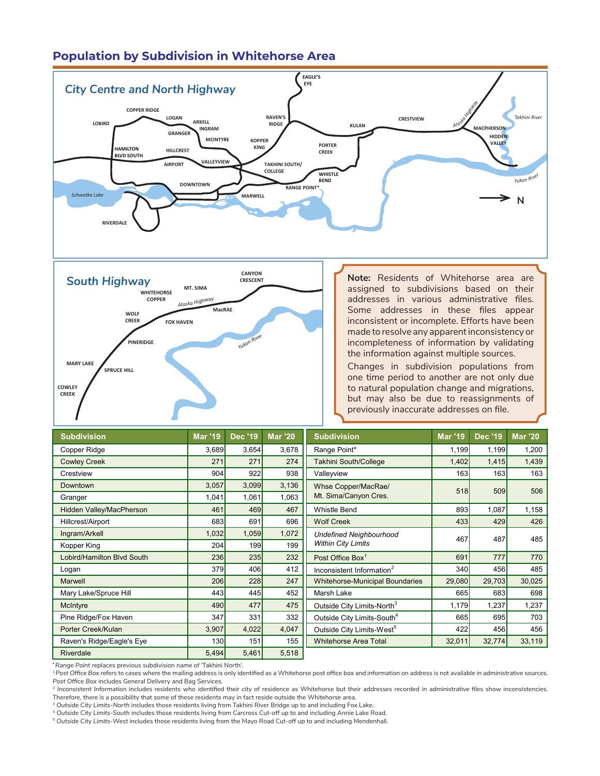# **Population by Subdivision in Whitehorse Area**





**Note:** Residents of Whitehorse area are assigned to subdivisions based on their addresses in various administrative files. Some addresses in these files appear inconsistent or incomplete. Efforts have been made to resolve any apparent inconsistency or incompleteness of information by validating the information against multiple sources. **BL** 

**GRANGER**

**MCINTYRE**

**TAKHINI SOUTH/ COLLEGE**

**KOPPER**

Changes in subdivision populations from one time period to another are not only due to natural population change and migrations, but may also be due to reassignments of previously inaccurate addresses on file.

| <b>Subdivision</b>         | <b>Mar '19</b> | <b>Dec '19</b> | <b>Mar '20</b> | <b>Subdivision</b>                     | <b>Mar '19</b>   | <b>Dec '19</b> | <b>Mar '20</b> |
|----------------------------|----------------|----------------|----------------|----------------------------------------|------------------|----------------|----------------|
| Copper Ridge               | 3,689          | 3,654          | 3,678          | Range Point*                           | 1,199            | 1,199          | 1,200          |
| <b>Cowley Creek</b>        | 271            | 271            | 274            | <b>Takhini South/College</b>           | 1,402            | 1,415          | 1,439          |
| Crestview                  | 904            | 922            | 938            | Valleyview                             | 163 <sup>1</sup> | 163            | 163            |
| Downtown                   | 3,057          | 3,099          | 3,136          | Whse Copper/MacRae/                    | <b>518</b>       | 509            | 506            |
| Granger                    | 1,041          | 1,061          | 1,063          | Mt. Sima/Canyon Cres.                  |                  |                |                |
| Hidden Valley/MacPherson   | 461            | 469            | 467            | <b>Whistle Bend</b>                    | 893              | 1,087          | 1,158          |
| Hillcrest/Airport          | 683            | 691            | 696            | <b>Wolf Creek</b>                      | 433              | 429            | 426            |
| Ingram/Arkell              | 1,032          | 1,059          | 1,072          | <b>Undefined Neighbourhood</b>         | 467              | 487            | 485            |
| Kopper King                | 204            | 199            | 199            | <b>Within City Limits</b>              |                  |                |                |
| Lobird/Hamilton Blvd South | 236            | 235            | 232            | Post Office Box <sup>7</sup>           | 691              | 777            | 770            |
| Logan                      | 379            | 406            | 412            | Inconsistent Information <sup>2</sup>  | 340              | 456            | 485            |
| Marwell                    | 206            | 228            | 247            | <b>Whitehorse-Municipal Boundaries</b> | 29,080           | 29,703         | 30,025         |
| Mary Lake/Spruce Hill      | 443            | 445            | 452            | Marsh Lake                             | 665              | 683            | 698            |
| McIntyre                   | 490            | 477            | 475            | Outside City Limits-North <sup>3</sup> | 1,179            | 1,237          | 1,237          |
| Pine Ridge/Fox Haven       | 347            | 331            | 332            | Outside City Limits-South <sup>4</sup> | 665              | 695            | 703            |
| Porter Creek/Kulan         | 3,907          | 4,022          | 4,047          | Outside City Limits-West <sup>5</sup>  | 422              | 456            | 456            |
| Raven's Ridge/Eagle's Eye  | 130            | 151            | 155            | <b>Whitehorse Area Total</b>           | 32,011           | 32,774         | 33,119         |
| Riverdale                  | 5,494          | 5,461          | 5,518          |                                        |                  |                |                |

**\****Range Point* replaces previous subdivision name of 'Takhini North'.

<sup>1</sup>*Post Office Box* refers to cases where the mailing address is only identified as a Whitehorse post office box and information on address is not available in administrative sources. *Post Office Box* includes General Delivery and Bag Services.

<sup>2</sup> Inconsistent Information includes residents who identified their city of residence as Whitehorse but their addresses recorded in administrative files show inconsistencies. Therefore, there is a possibility that some of these residents may in fact reside outside the Whitehorse area.

<sup>3</sup> *Outside City Limits-North* includes those residents living from Takhini River Bridge up to and including Fox Lake.

<sup>5</sup> *Outside City Limits*-West includes those residents living from the Mayo Road Cut-off up to and including Mendenhall.

<sup>4</sup> *Outside City Limits-South* includes those residents living from Carcross Cut-off up to and including Annie Lake Road.